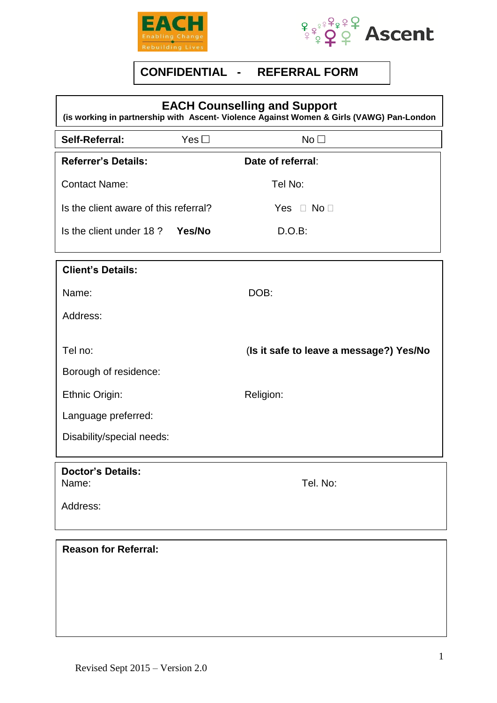



## **CONFIDENTIAL - REFERRAL FORM**

| <b>EACH Counselling and Support</b><br>(is working in partnership with Ascent- Violence Against Women & Girls (VAWG) Pan-London |            |                                         |  |  |  |
|---------------------------------------------------------------------------------------------------------------------------------|------------|-----------------------------------------|--|--|--|
| Self-Referral:                                                                                                                  | Yes $\Box$ | No <sub>1</sub>                         |  |  |  |
| <b>Referrer's Details:</b>                                                                                                      |            | Date of referral:                       |  |  |  |
| <b>Contact Name:</b>                                                                                                            |            | Tel No:                                 |  |  |  |
| Is the client aware of this referral?                                                                                           |            | Yes $\Box$ No $\Box$                    |  |  |  |
| Is the client under 18?                                                                                                         | Yes/No     | D.O.B:                                  |  |  |  |
| <b>Client's Details:</b>                                                                                                        |            |                                         |  |  |  |
| Name:                                                                                                                           |            | DOB:                                    |  |  |  |
| Address:                                                                                                                        |            |                                         |  |  |  |
| Tel no:                                                                                                                         |            | (Is it safe to leave a message?) Yes/No |  |  |  |
| Borough of residence:                                                                                                           |            |                                         |  |  |  |
| Ethnic Origin:                                                                                                                  |            | Religion:                               |  |  |  |
| Language preferred:                                                                                                             |            |                                         |  |  |  |
| Disability/special needs:                                                                                                       |            |                                         |  |  |  |
| <b>Doctor's Details:</b><br>Name:                                                                                               |            | Tel. No:                                |  |  |  |
| Address:                                                                                                                        |            |                                         |  |  |  |
| <b>Reason for Referral:</b>                                                                                                     |            |                                         |  |  |  |